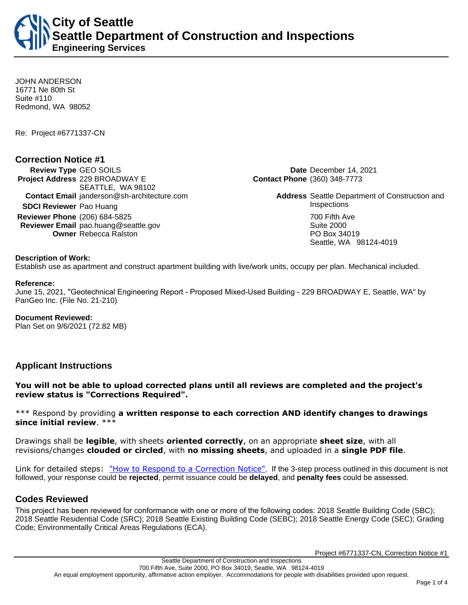JOHN ANDERSON 16771 Ne 80th St Suite #110 Redmond, WA 98052

Re: Project #6771337-CN

## **Correction Notice #1**

**Review Type** GEO SOILS **Date** December 14, 2021 **Project Address** 229 BROADWAY E SEATTLE, WA 98102 **Contact Email** janderson@sh-architecture.com **Address** Seattle Department of Construction and **SDCI Reviewer** Pao Huang **Inspections Reviewer Phone** (206) 684-5825 **700 Fifth Ave Reviewer Email** pao.huang@seattle.gov Suite 2000 **Owner** Rebecca Ralston **PO Box 34019** 

**Contact Phone** (360) 348-7773

Seattle, WA 98124-4019

#### **Description of Work:**

Establish use as apartment and construct apartment building with live/work units, occupy per plan. Mechanical included.

#### **Reference:**

June 15, 2021, "Geotechnical Engineering Report - Proposed Mixed-Used Building - 229 BROADWAY E, Seattle, WA" by PanGeo Inc. (File No. 21-210)

**Document Reviewed:** Plan Set on 9/6/2021 (72.82 MB)

## **Applicant Instructions**

## **You will not be able to upload corrected plans until all reviews are completed and the project's review status is "Corrections Required".**

## \*\*\* Respond by providing **a written response to each correction AND identify changes to drawings since initial review**. \*\*\*

Drawings shall be **legible**, with sheets **oriented correctly**, on an appropriate **sheet size**, with all revisions/changes **clouded or circled**, with **no missing sheets**, and uploaded in a **single PDF file**.

Link for detailed steps: ["How to Respond to a Correction Notice"](http://www.seattle.gov/documents/Departments/SDCI/Permits/HowtoRespondSDCICorrectionNotice.pdf). If the 3-step process outlined in this document is not followed, your response could be **rejected**, permit issuance could be **delayed**, and **penalty fees** could be assessed.

## **Codes Reviewed**

This project has been reviewed for conformance with one or more of the following codes: 2018 Seattle Building Code (SBC); 2018 Seattle Residential Code (SRC); 2018 Seattle Existing Building Code (SEBC); 2018 Seattle Energy Code (SEC); Grading Code; Environmentally Critical Areas Regulations (ECA).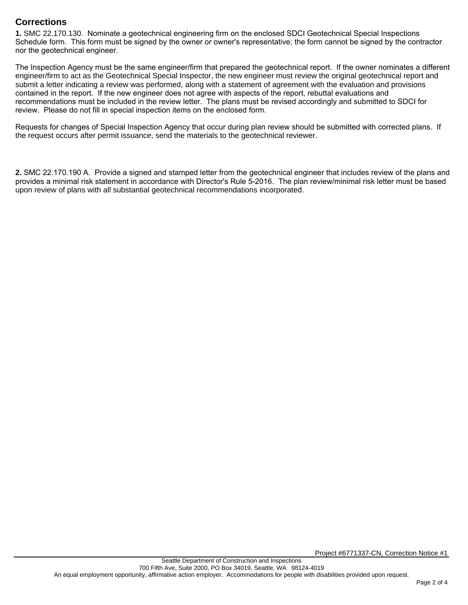## **Corrections**

**1.** SMC 22.170.130. Nominate a geotechnical engineering firm on the enclosed SDCI Geotechnical Special Inspections Schedule form. This form must be signed by the owner or owner's representative; the form cannot be signed by the contractor nor the geotechnical engineer.

The Inspection Agency must be the same engineer/firm that prepared the geotechnical report. If the owner nominates a different engineer/firm to act as the Geotechnical Special Inspector, the new engineer must review the original geotechnical report and submit a letter indicating a review was performed, along with a statement of agreement with the evaluation and provisions contained in the report. If the new engineer does not agree with aspects of the report, rebuttal evaluations and recommendations must be included in the review letter. The plans must be revised accordingly and submitted to SDCI for review. Please do not fill in special inspection items on the enclosed form.

Requests for changes of Special Inspection Agency that occur during plan review should be submitted with corrected plans. If the request occurs after permit issuance, send the materials to the geotechnical reviewer.

**2.** SMC 22.170.190 A. Provide a signed and stamped letter from the geotechnical engineer that includes review of the plans and provides a minimal risk statement in accordance with Director's Rule 5-2016. The plan review/minimal risk letter must be based upon review of plans with all substantial geotechnical recommendations incorporated.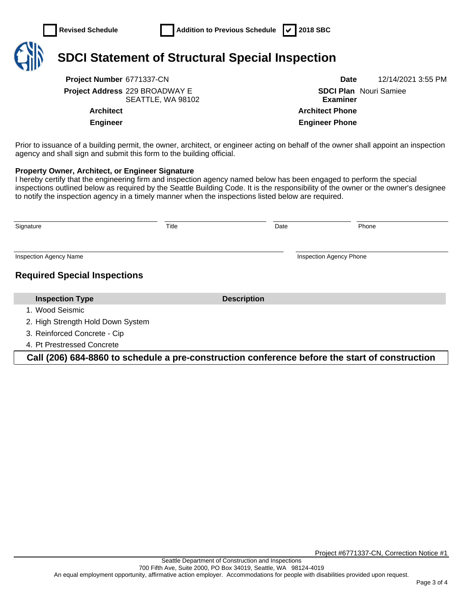

# **SDCI Statement of Structural Special Inspection**

**Project Number** 6771337-CN **Date** 12/14/2021 3:55 PM **Project Address** 229 BROADWAY E SEATTLE, WA 98102

**SDCI Plan**  Nouri Samiee **Examiner Architect Architect Phone Engineer Engineer Phone**

Prior to issuance of a building permit, the owner, architect, or engineer acting on behalf of the owner shall appoint an inspection agency and shall sign and submit this form to the building official.

## **Property Owner, Architect, or Engineer Signature**

I hereby certify that the engineering firm and inspection agency named below has been engaged to perform the special inspections outlined below as required by the Seattle Building Code. It is the responsibility of the owner or the owner's designee to notify the inspection agency in a timely manner when the inspections listed below are required.

| Signature                           | Title |                    | Date | Phone                          |
|-------------------------------------|-------|--------------------|------|--------------------------------|
| <b>Inspection Agency Name</b>       |       |                    |      | <b>Inspection Agency Phone</b> |
| <b>Required Special Inspections</b> |       |                    |      |                                |
| <b>Inspection Type</b>              |       | <b>Description</b> |      |                                |
| 1. Wood Seismic                     |       |                    |      |                                |
| 2. High Strength Hold Down System   |       |                    |      |                                |
| 3. Reinforced Concrete - Cip        |       |                    |      |                                |
| 4. Pt Prestressed Concrete          |       |                    |      |                                |

**Call (206) 684-8860 to schedule a pre-construction conference before the start of construction**